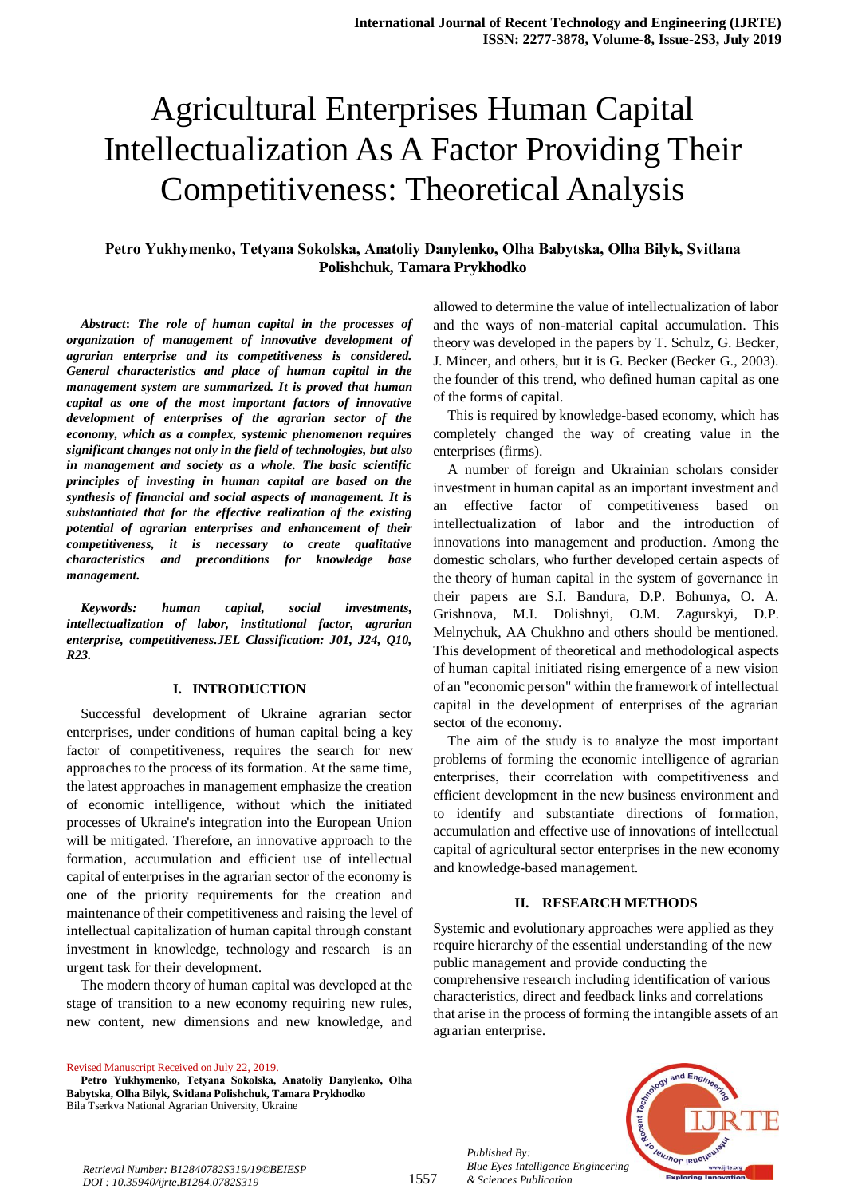# Agricultural Enterprises Human Capital Intellectualization As A Factor Providing Their Competitiveness: Theoretical Analysis

## **Petro Yukhymenko, Тetyana Sokolska, Anatoliy Danylenko, Olha Babytska, Olha Bilyk, Svitlana Polishchuk, Tamara Prykhodko**

*Abstract***:** *The role of human capital in the processes of organization of management of innovative development of agrarian enterprise and its competitiveness is considered. General characteristics and place of human capital in the management system are summarized. It is proved that human capital as one of the most important factors of innovative development of enterprises of the agrarian sector of the economy, which as a complex, systemic phenomenon requires significant changes not only in the field of technologies, but also in management and society as a whole. The basic scientific principles of investing in human capital are based on the synthesis of financial and social aspects of management. It is substantiated that for the effective realization of the existing potential of agrarian enterprises and enhancement of their competitiveness, it is necessary to create qualitative characteristics and preconditions for knowledge base management.*

*Keywords: human capital, social investments, intellectualization of labor, institutional factor, agrarian enterprise, competitiveness.JEL Classification: J01, J24, Q10, R23.*

#### **I. INTRODUCTION**

Successful development of Ukraine agrarian sector enterprises, under conditions of human capital being a key factor of competitiveness, requires the search for new approaches to the process of its formation. At the same time, the latest approaches in management emphasize the creation of economic intelligence, without which the initiated processes of Ukraine's integration into the European Union will be mitigated. Therefore, an innovative approach to the formation, accumulation and efficient use of intellectual capital of enterprises in the agrarian sector of the economy is one of the priority requirements for the creation and maintenance of their competitiveness and raising the level of intellectual capitalization of human capital through constant investment in knowledge, technology and research is an urgent task for their development.

The modern theory of human capital was developed at the stage of transition to a new economy requiring new rules, new content, new dimensions and new knowledge, and

Revised Manuscript Received on July 22, 2019.

allowed to determine the value of intellectualization of labor and the ways of non-material capital accumulation. This theory was developed in the papers by T. Schulz, G. Becker, J. Mincer, and others, but it is G. Becker (Becker G., 2003). the founder of this trend, who defined human capital as one of the forms of capital.

This is required by knowledge-based economy, which has completely changed the way of creating value in the enterprises (firms).

A number of foreign and Ukrainian scholars consider investment in human capital as an important investment and effective factor of competitiveness based on intellectualization of labor and the introduction of innovations into management and production. Among the domestic scholars, who further developed certain aspects of the theory of human capital in the system of governance in their papers are S.I. Bandura, D.P. Bohunya, O. A. Grishnova, M.I. Dolishnyi, O.M. Zagurskyi, D.P. Melnychuk, AA Chukhno and others should be mentioned. This development of theoretical and methodological aspects of human capital initiated rising emergence of a new vision of an "economic person" within the framework of intellectual capital in the development of enterprises of the agrarian sector of the economy.

The aim of the study is to analyze the most important problems of forming the economic intelligence of agrarian enterprises, their сcorrelation with competitiveness and efficient development in the new business environment and to identify and substantiate directions of formation, accumulation and effective use of innovations of intellectual capital of agricultural sector enterprises in the new economy and knowledge-based management.

#### **II. RESEARCH METHODS**

Systemic and evolutionary approaches were applied as they require hierarchy of the essential understanding of the new public management and provide conducting the comprehensive research including identification of various characteristics, direct and feedback links and correlations that arise in the process of forming the intangible assets of an agrarian enterprise.



*Retrieval Number: B12840782S319/19©BEIESP DOI : 10.35940/ijrte.B1284.0782S319*

*Published By:*

*& Sciences Publication* 

**Petro Yukhymenko, Тetyana Sokolska, Anatoliy Danylenko, Olha Babytska, Olha Bilyk, Svitlana Polishchuk, Tamara Prykhodko** Bila Tserkva National Agrarian University, Ukraine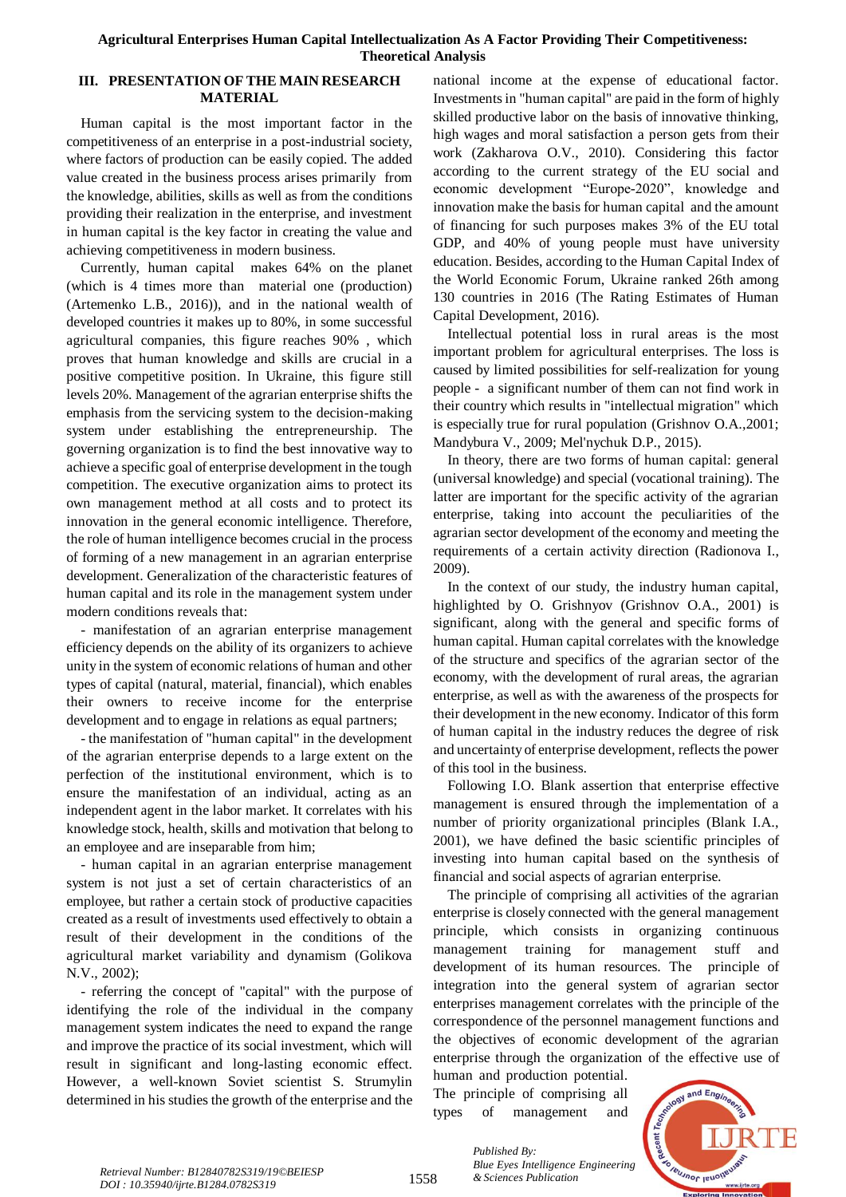### **Agricultural Enterprises Human Capital Intellectualization As A Factor Providing Their Competitiveness: Theoretical Analysis**

## **III. PRESENTATION OF THE MAIN RESEARCH MATERIAL**

Human capital is the most important factor in the competitiveness of an enterprise in a post-industrial society, where factors of production can be easily copied. The added value created in the business process arises primarily from the knowledge, abilities, skills as well as from the conditions providing their realization in the enterprise, and investment in human capital is the key factor in creating the value and achieving competitiveness in modern business.

Currently, human capital makes 64% on the planet (which is 4 times more than material one (production) (Artemenko L.B., 2016)), and in the national wealth of developed countries it makes up to 80%, in some successful agricultural companies, this figure reaches 90% , which proves that human knowledge and skills are crucial in a positive competitive position. In Ukraine, this figure still levels 20%. Management of the agrarian enterprise shifts the emphasis from the servicing system to the decision-making system under establishing the entrepreneurship. The governing organization is to find the best innovative way to achieve a specific goal of enterprise development in the tough competition. The executive organization aims to protect its own management method at all costs and to protect its innovation in the general economic intelligence. Therefore, the role of human intelligence becomes crucial in the process of forming of a new management in an agrarian enterprise development. Generalization of the characteristic features of human capital and its role in the management system under modern conditions reveals that:

- manifestation of an agrarian enterprise management efficiency depends on the ability of its organizers to achieve unity in the system of economic relations of human and other types of capital (natural, material, financial), which enables their owners to receive income for the enterprise development and to engage in relations as equal partners;

- the manifestation of "human capital" in the development of the agrarian enterprise depends to a large extent on the perfection of the institutional environment, which is to ensure the manifestation of an individual, acting as an independent agent in the labor market. It correlates with his knowledge stock, health, skills and motivation that belong to an employee and are inseparable from him;

- human capital in an agrarian enterprise management system is not just a set of certain characteristics of an employee, but rather a certain stock of productive capacities created as a result of investments used effectively to obtain a result of their development in the conditions of the agricultural market variability and dynamism (Golikova N.V., 2002);

- referring the concept of "capital" with the purpose of identifying the role of the individual in the company management system indicates the need to expand the range and improve the practice of its social investment, which will result in significant and long-lasting economic effect. However, a well-known Soviet scientist S. Strumylin determined in his studies the growth of the enterprise and the

national income at the expense of educational factor. Investments in "human capital" are paid in the form of highly skilled productive labor on the basis of innovative thinking, high wages and moral satisfaction a person gets from their work (Zakharova O.V., 2010). Considering this factor according to the current strategy of the EU social and economic development "Europe-2020", knowledge and innovation make the basis for human capital and the amount of financing for such purposes makes 3% of the EU total GDP, and 40% of young people must have university education. Besides, according to the Human Capital Index of the World Economic Forum, Ukraine ranked 26th among 130 countries in 2016 (The Rating Estimates of Human Capital Development, 2016).

Intellectual potential loss in rural areas is the most important problem for agricultural enterprises. The loss is caused by limited possibilities for self-realization for young people - a significant number of them can not find work in their country which results in "intellectual migration" which is especially true for rural population (Grishnov O.A.,2001; Mandybura V., 2009; Mel'nychuk D.P., 2015).

In theory, there are two forms of human capital: general (universal knowledge) and special (vocational training). The latter are important for the specific activity of the agrarian enterprise, taking into account the peculiarities of the agrarian sector development of the economy and meeting the requirements of a certain activity direction (Radionova I., 2009).

In the context of our study, the industry human capital, highlighted by O. Grishnyov (Grishnov O.A., 2001) is significant, along with the general and specific forms of human capital. Human capital correlates with the knowledge of the structure and specifics of the agrarian sector of the economy, with the development of rural areas, the agrarian enterprise, as well as with the awareness of the prospects for their development in the new economy. Indicator of this form of human capital in the industry reduces the degree of risk and uncertainty of enterprise development, reflects the power of this tool in the business.

Following I.O. Blank assertion that enterprise effective management is ensured through the implementation of a number of priority organizational principles (Blank I.A., 2001), we have defined the basic scientific principles of investing into human capital based on the synthesis of financial and social aspects of agrarian enterprise.

The principle of comprising all activities of the agrarian enterprise is closely connected with the general management principle, which consists in organizing continuous management training for management stuff and development of its human resources. The principle of integration into the general system of agrarian sector enterprises management correlates with the principle of the correspondence of the personnel management functions and the objectives of economic development of the agrarian enterprise through the organization of the effective use of

human and production potential. The principle of comprising all types of management and



1558

*Published By: Blue Eyes Intelligence Engineering*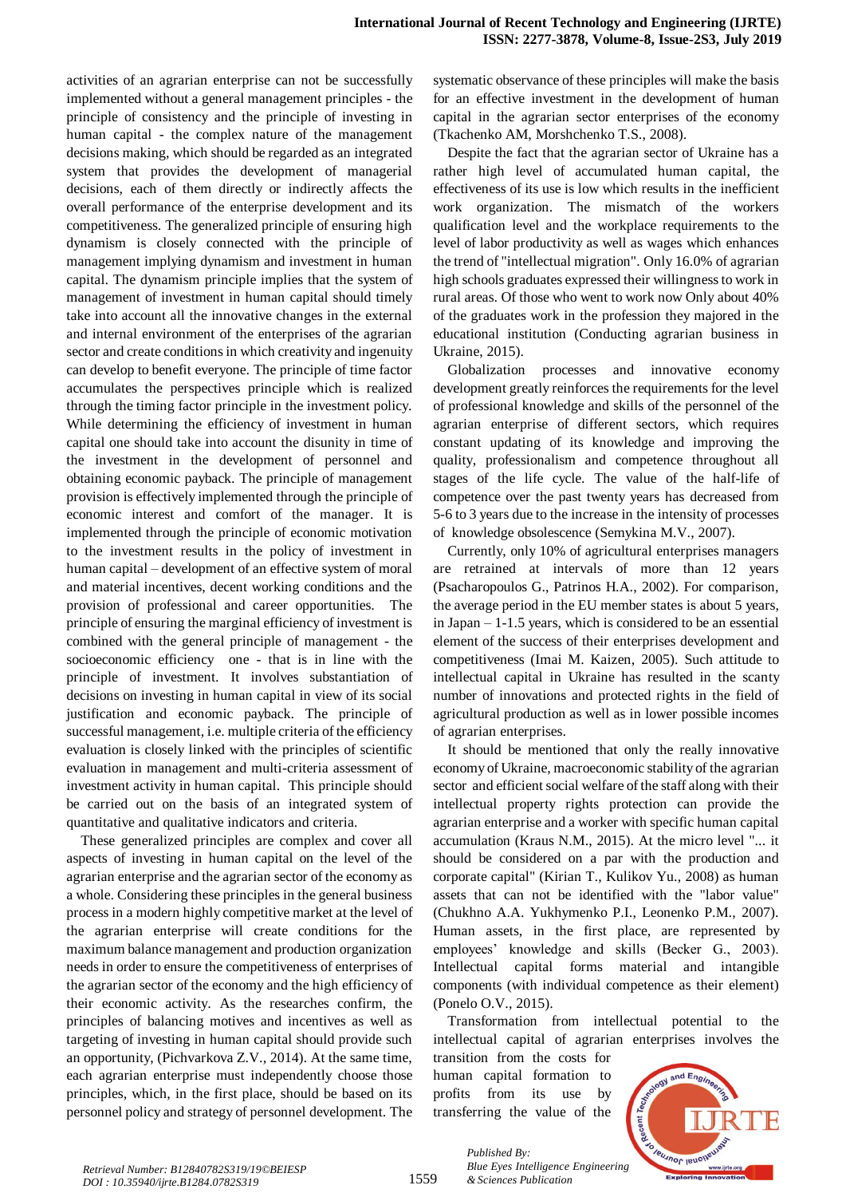activities of an agrarian enterprise can not be successfully implemented without a general management principles - the principle of consistency and the principle of investing in human capital - the complex nature of the management decisions making, which should be regarded as an integrated system that provides the development of managerial decisions, each of them directly or indirectly affects the overall performance of the enterprise development and its competitiveness. The generalized principle of ensuring high dynamism is closely connected with the principle of management implying dynamism and investment in human capital. The dynamism principle implies that the system of management of investment in human capital should timely take into account all the innovative changes in the external and internal environment of the enterprises of the agrarian sector and create conditions in which creativity and ingenuity can develop to benefit everyone. The principle of time factor accumulates the perspectives principle which is realized through the timing factor principle in the investment policy. While determining the efficiency of investment in human capital one should take into account the disunity in time of the investment in the development of personnel and obtaining economic payback. The principle of management provision is effectively implemented through the principle of economic interest and comfort of the manager. It is implemented through the principle of economic motivation to the investment results in the policy of investment in human capital – development of an effective system of moral and material incentives, decent working conditions and the provision of professional and career opportunities. The principle of ensuring the marginal efficiency of investment is combined with the general principle of management - the socioeconomic efficiency one - that is in line with the principle of investment. It involves substantiation of decisions on investing in human capital in view of its social justification and economic payback. The principle of successful management, i.e. multiple criteria of the efficiency evaluation is closely linked with the principles of scientific evaluation in management and multi-criteria assessment of investment activity in human capital. This principle should be carried out on the basis of an integrated system of quantitative and qualitative indicators and criteria.

These generalized principles are complex and cover all aspects of investing in human capital on the level of the agrarian enterprise and the agrarian sector of the economy as a whole. Considering these principles in the general business process in a modern highly competitive market at the level of the agrarian enterprise will create conditions for the maximum balance management and production organization needs in order to ensure the competitiveness of enterprises of the agrarian sector of the economy and the high efficiency of their economic activity. As the researches confirm, the principles of balancing motives and incentives as well as targeting of investing in human capital should provide such an opportunity, (Pichvarkova Z.V., 2014). At the same time, each agrarian enterprise must independently choose those principles, which, in the first place, should be based on its personnel policy and strategy of personnel development. The

systematic observance of these principles will make the basis for an effective investment in the development of human capital in the agrarian sector enterprises of the economy (Tkachenko AM, Morshchenko T.S., 2008).

Despite the fact that the agrarian sector of Ukraine has a rather high level of accumulated human capital, the effectiveness of its use is low which results in the inefficient work organization. The mismatch of the workers qualification level and the workplace requirements to the level of labor productivity as well as wages which enhances the trend of "intellectual migration". Only 16.0% of agrarian high schools graduates expressed their willingness to work in rural areas. Of those who went to work now Only about 40% of the graduates work in the profession they majored in the educational institution (Conducting agrarian business in Ukraine, 2015).

Globalization processes and innovative economy development greatly reinforces the requirements for the level of professional knowledge and skills of the personnel of the agrarian enterprise of different sectors, which requires constant updating of its knowledge and improving the quality, professionalism and competence throughout all stages of the life cycle. The value of the half-life of competence over the past twenty years has decreased from 5-6 to 3 years due to the increase in the intensity of processes of knowledge obsolescence (Semykina M.V., 2007).

Currently, only 10% of agricultural enterprises managers are retrained at intervals of more than 12 years (Psacharopoulos G., Patrinos H.A., 2002). For comparison, the average period in the EU member states is about 5 years, in Japan – 1-1.5 years, which is considered to be an essential element of the success of their enterprises development and competitiveness (Imai M. Kaizen, 2005). Such attitude to intellectual capital in Ukraine has resulted in the scanty number of innovations and protected rights in the field of agricultural production as well as in lower possible incomes of agrarian enterprises.

It should be mentioned that only the really innovative economy of Ukraine, macroeconomic stability of the agrarian sector and efficient social welfare of the staff along with their intellectual property rights protection can provide the agrarian enterprise and a worker with specific human capital accumulation (Kraus N.M., 2015). At the micro level "... it should be considered on a par with the production and corporate capital" (Kirian T., Kulikov Yu., 2008) as human assets that can not be identified with the "labor value" (Chukhno A.A. Yukhymenko P.I., Leonenko P.M., 2007). Human assets, in the first place, are represented by employees' knowledge and skills (Becker G., 2003). Intellectual capital forms material and intangible components (with individual competence as their element) (Ponelo O.V., 2015).

Transformation from intellectual potential to the intellectual capital of agrarian enterprises involves the

transition from the costs for human capital formation to profits from its use by transferring the value of the

*& Sciences Publication* 

*Published By:*

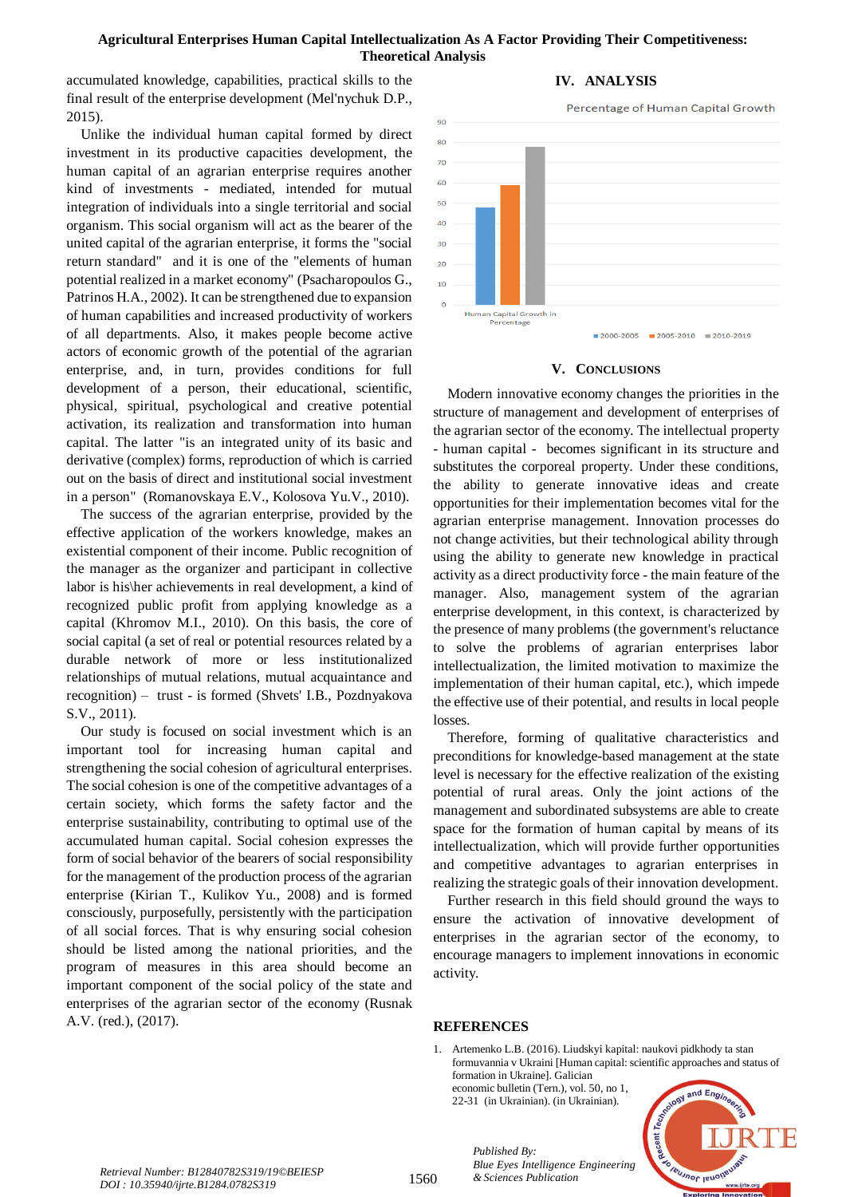## **Agricultural Enterprises Human Capital Intellectualization As A Factor Providing Their Competitiveness: Theoretical Analysis**

accumulated knowledge, capabilities, practical skills to the final result of the enterprise development (Mel'nychuk D.P., 2015).

Unlike the individual human capital formed by direct investment in its productive capacities development, the human capital of an agrarian enterprise requires another kind of investments - mediated, intended for mutual integration of individuals into a single territorial and social organism. This social organism will act as the bearer of the united capital of the agrarian enterprise, it forms the "social return standard" and it is one of the "elements of human potential realized in a market economy" (Psacharopoulos G., Patrinos H.A., 2002). It can be strengthened due to expansion of human capabilities and increased productivity of workers of all departments. Also, it makes people become active actors of economic growth of the potential of the agrarian enterprise, and, in turn, provides conditions for full development of a person, their educational, scientific, physical, spiritual, psychological and creative potential activation, its realization and transformation into human capital. The latter "is an integrated unity of its basic and derivative (complex) forms, reproduction of which is carried out on the basis of direct and institutional social investment in a person" (Romanovskaya E.V., Kolosova Yu.V., 2010).

The success of the agrarian enterprise, provided by the effective application of the workers knowledge, makes an existential component of their income. Public recognition of the manager as the organizer and participant in collective labor is his\her achievements in real development, a kind of recognized public profit from applying knowledge as a capital (Khromov M.I., 2010). On this basis, the core of social capital (a set of real or potential resources related by a durable network of more or less institutionalized relationships of mutual relations, mutual acquaintance and recognition) – trust - is formed (Shvets' I.B., Pozdnyakova S.V., 2011).

Our study is focused on social investment which is an important tool for increasing human capital and strengthening the social cohesion of agricultural enterprises. The social cohesion is one of the competitive advantages of a certain society, which forms the safety factor and the enterprise sustainability, contributing to optimal use of the accumulated human capital. Social cohesion expresses the form of social behavior of the bearers of social responsibility for the management of the production process of the agrarian enterprise (Kirian T., Kulikov Yu., 2008) and is formed consciously, purposefully, persistently with the participation of all social forces. That is why ensuring social cohesion should be listed among the national priorities, and the program of measures in this area should become an important component of the social policy of the state and enterprises of the agrarian sector of the economy (Rusnak A.V. (red.), (2017).



**IV. ANALYSIS**

#### **V. CONCLUSIONS**

Modern innovative economy changes the priorities in the structure of management and development of enterprises of the agrarian sector of the economy. The intellectual property - human capital - becomes significant in its structure and substitutes the corporeal property. Under these conditions, the ability to generate innovative ideas and create opportunities for their implementation becomes vital for the agrarian enterprise management. Innovation processes do not change activities, but their technological ability through using the ability to generate new knowledge in practical activity as a direct productivity force - the main feature of the manager. Also, management system of the agrarian enterprise development, in this context, is characterized by the presence of many problems (the government's reluctance to solve the problems of agrarian enterprises labor intellectualization, the limited motivation to maximize the implementation of their human capital, etc.), which impede the effective use of their potential, and results in local people losses.

Therefore, forming of qualitative characteristics and preconditions for knowledge-based management at the state level is necessary for the effective realization of the existing potential of rural areas. Only the joint actions of the management and subordinated subsystems are able to create space for the formation of human capital by means of its intellectualization, which will provide further opportunities and competitive advantages to agrarian enterprises in realizing the strategic goals of their innovation development.

Further research in this field should ground the ways to ensure the activation of innovative development of enterprises in the agrarian sector of the economy, to encourage managers to implement innovations in economic activity.

#### **REFERENCES**

1. Artemenko L.B. (2016). Liudskyi kapital: naukovi pidkhody ta stan formuvannia v Ukraini [Human capital: scientific approaches and status of formation in Ukraine]. Galician

economic bulletin (Tern.), vol. 50, no 1, 22-31 (in Ukrainian). (in Ukrainian).



*& Sciences Publication Retrieval Number: B12840782S319/19©BEIESP DOI : 10.35940/ijrte.B1284.0782S319*

*Published By: Blue Eyes Intelligence Engineering*